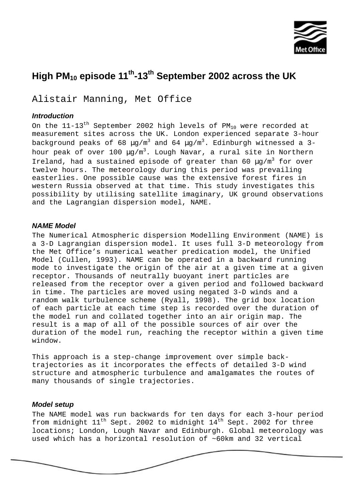

# **High PM10 episode 11th-13th September 2002 across the UK**

Alistair Manning, Met Office

## *Introduction*

On the  $11-13$ <sup>th</sup> September 2002 high levels of PM<sub>10</sub> were recorded at measurement sites across the UK. London experienced separate 3-hour background peaks of 68  $\mu$ g/m<sup>3</sup> and 64  $\mu$ g/m<sup>3</sup>. Edinburgh witnessed a 3hour peak of over 100  $\mu$ g/m<sup>3</sup>. Lough Navar, a rural site in Northern Ireland, had a sustained episode of greater than 60  $\mu q/m^3$  for over twelve hours. The meteorology during this period was prevailing easterlies. One possible cause was the extensive forest fires in western Russia observed at that time. This study investigates this possibility by utilising satellite imaginary, UK ground observations and the Lagrangian dispersion model, NAME.

### *NAME Model*

The Numerical Atmospheric dispersion Modelling Environment (NAME) is a 3-D Lagrangian dispersion model. It uses full 3-D meteorology from the Met Office's numerical weather predication model, the Unified Model (Cullen, 1993). NAME can be operated in a backward running mode to investigate the origin of the air at a given time at a given receptor. Thousands of neutrally buoyant inert particles are released from the receptor over a given period and followed backward in time. The particles are moved using negated 3-D winds and a random walk turbulence scheme (Ryall, 1998). The grid box location of each particle at each time step is recorded over the duration of the model run and collated together into an air origin map. The result is a map of all of the possible sources of air over the duration of the model run, reaching the receptor within a given time window.

This approach is a step-change improvement over simple backtrajectories as it incorporates the effects of detailed 3-D wind structure and atmospheric turbulence and amalgamates the routes of many thousands of single trajectories.

#### *Model setup*

The NAME model was run backwards for ten days for each 3-hour period from midnight  $11^{th}$  Sept. 2002 to midnight  $14^{th}$  Sept. 2002 for three locations; London, Lough Navar and Edinburgh. Global meteorology was used which has a horizontal resolution of ~60km and 32 vertical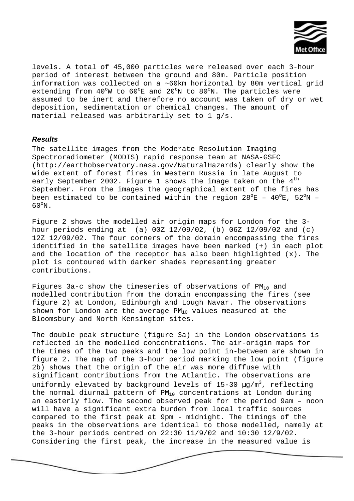

levels. A total of 45,000 particles were released over each 3-hour period of interest between the ground and 80m. Particle position information was collected on a ~60km horizontal by 80m vertical grid extending from  $40^{\circ}$ W to  $60^{\circ}$ E and  $20^{\circ}$ N to  $80^{\circ}$ N. The particles were assumed to be inert and therefore no account was taken of dry or wet deposition, sedimentation or chemical changes. The amount of material released was arbitrarily set to 1 g/s.

#### *Results*

The satellite images from the Moderate Resolution Imaging Spectroradiometer (MODIS) rapid response team at NASA-GSFC (http://earthobservatory.nasa.gov/NaturalHazards) clearly show the wide extent of forest fires in Western Russia in late August to early September 2002. Figure 1 shows the image taken on the  $4<sup>th</sup>$ September. From the images the geographical extent of the fires has been estimated to be contained within the region  $28^{\circ}E - 40^{\circ}E$ ,  $52^{\circ}N$  - $60^{\circ}$ N.

Figure 2 shows the modelled air origin maps for London for the 3 hour periods ending at (a) 00Z 12/09/02, (b) 06Z 12/09/02 and (c) 12Z 12/09/02. The four corners of the domain encompassing the fires identified in the satellite images have been marked (+) in each plot and the location of the receptor has also been highlighted  $(x)$ . The plot is contoured with darker shades representing greater contributions.

Figures 3a-c show the timeseries of observations of  $PM_{10}$  and modelled contribution from the domain encompassing the fires (see figure 2) at London, Edinburgh and Lough Navar. The observations shown for London are the average  $PM_{10}$  values measured at the Bloomsbury and North Kensington sites.

The double peak structure (figure 3a) in the London observations is reflected in the modelled concentrations. The air-origin maps for the times of the two peaks and the low point in-between are shown in figure 2. The map of the 3-hour period marking the low point (figure 2b) shows that the origin of the air was more diffuse with significant contributions from the Atlantic. The observations are uniformly elevated by background levels of  $15-30 \mu q/m^3$ , reflecting the normal diurnal pattern of  $PM_{10}$  concentrations at London during an easterly flow. The second observed peak for the period 9am – noon will have a significant extra burden from local traffic sources compared to the first peak at 9pm - midnight. The timings of the peaks in the observations are identical to those modelled, namely at the 3-hour periods centred on 22:30 11/9/02 and 10:30 12/9/02. Considering the first peak, the increase in the measured value is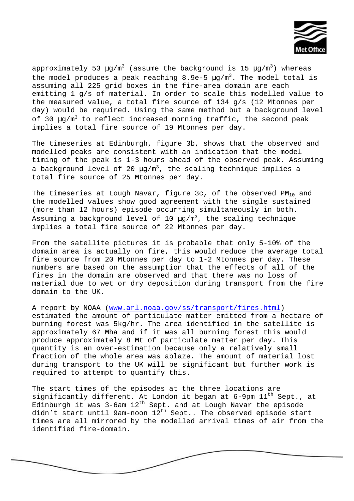

approximately 53  $\mu$ g/m<sup>3</sup> (assume the background is 15  $\mu$ g/m<sup>3</sup>) whereas the model produces a peak reaching  $8.9e-5 \mu q/m^3$ . The model total is assuming all 225 grid boxes in the fire-area domain are each emitting 1 g/s of material. In order to scale this modelled value to the measured value, a total fire source of 134 g/s (12 Mtonnes per day) would be required. Using the same method but a background level of 30  $\mu$ g/m<sup>3</sup> to reflect increased morning traffic, the second peak implies a total fire source of 19 Mtonnes per day.

The timeseries at Edinburgh, figure 3b, shows that the observed and modelled peaks are consistent with an indication that the model timing of the peak is 1-3 hours ahead of the observed peak. Assuming a background level of 20  $\mu$ g/m<sup>3</sup>, the scaling technique implies a total fire source of 25 Mtonnes per day.

The timeseries at Lough Navar, figure 3c, of the observed  $PM_{10}$  and the modelled values show good agreement with the single sustained (more than 12 hours) episode occurring simultaneously in both. Assuming a background level of 10  $\mu q/m^3$ , the scaling technique implies a total fire source of 22 Mtonnes per day.

From the satellite pictures it is probable that only 5-10% of the domain area is actually on fire, this would reduce the average total fire source from 20 Mtonnes per day to 1-2 Mtonnes per day. These numbers are based on the assumption that the effects of all of the fires in the domain are observed and that there was no loss of material due to wet or dry deposition during transport from the fire domain to the UK.

A report by NOAA (www.arl.noaa.gov/ss/transport/fires.html) estimated the amount of particulate matter emitted from a hectare of burning forest was 5kg/hr. The area identified in the satellite is approximately 67 Mha and if it was all burning forest this would produce approximately 8 Mt of particulate matter per day. This quantity is an over-estimation because only a relatively small fraction of the whole area was ablaze. The amount of material lost during transport to the UK will be significant but further work is required to attempt to quantify this.

The start times of the episodes at the three locations are significantly different. At London it began at  $6$ -9pm  $11<sup>th</sup>$  Sept., at Edinburgh it was 3-6am 12<sup>th</sup> Sept. and at Lough Navar the episode didn't start until 9am-noon  $12^{th}$  Sept.. The observed episode start times are all mirrored by the modelled arrival times of air from the identified fire-domain.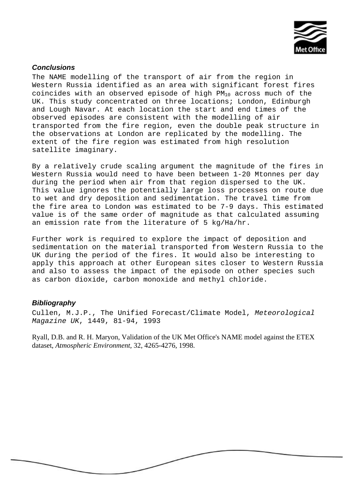

# *Conclusions*

The NAME modelling of the transport of air from the region in Western Russia identified as an area with significant forest fires coincides with an observed episode of high  $PM_{10}$  across much of the UK. This study concentrated on three locations; London, Edinburgh and Lough Navar. At each location the start and end times of the observed episodes are consistent with the modelling of air transported from the fire region, even the double peak structure in the observations at London are replicated by the modelling. The extent of the fire region was estimated from high resolution satellite imaginary.

By a relatively crude scaling argument the magnitude of the fires in Western Russia would need to have been between 1-20 Mtonnes per day during the period when air from that region dispersed to the UK. This value ignores the potentially large loss processes on route due to wet and dry deposition and sedimentation. The travel time from the fire area to London was estimated to be 7-9 days. This estimated value is of the same order of magnitude as that calculated assuming an emission rate from the literature of 5 kg/Ha/hr.

Further work is required to explore the impact of deposition and sedimentation on the material transported from Western Russia to the UK during the period of the fires. It would also be interesting to apply this approach at other European sites closer to Western Russia and also to assess the impact of the episode on other species such as carbon dioxide, carbon monoxide and methyl chloride.

#### *Bibliography*

Cullen, M.J.P., The Unified Forecast/Climate Model, *Meteorological Magazine UK*, 1449, 81-94, 1993

Ryall, D.B. and R. H. Maryon, Validation of the UK Met Office's NAME model against the ETEX dataset, *Atmospheric Environment*, 32, 4265-4276, 1998.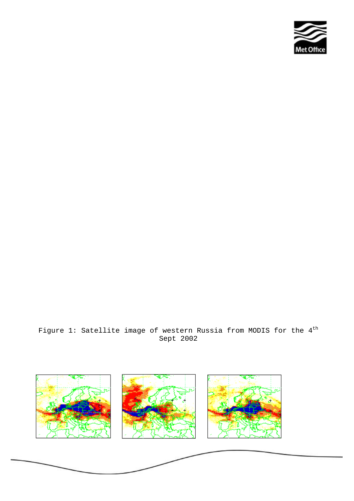

# Figure 1: Satellite image of western Russia from MODIS for the  $4^{\text{th}}$ Sept 2002

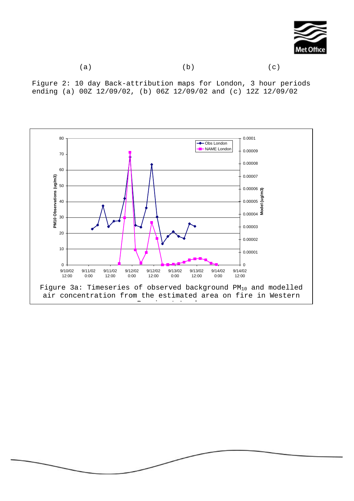

Figure 2: 10 day Back-attribution maps for London, 3 hour periods ending (a) 00Z 12/09/02, (b) 06Z 12/09/02 and (c) 12Z 12/09/02